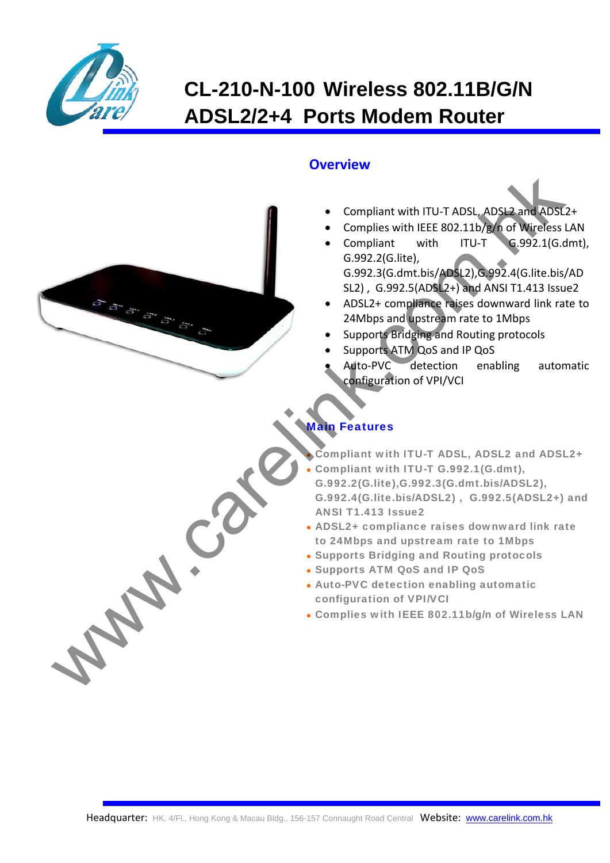

# **CL-210-N-100 Wireless 802.11B/G/N ADSL2/2+4 Ports Modem Router**

# **Overview**

- Compliant with ITU‐T ADSL, ADSL2 and ADSL2+
- Complies with IEEE 802.11b/g/n of Wireless LAN
- Compliant with ITU‐T G.992.1(G.dmt), G.992.2(G.lite), G.992.3(G.dmt.bis/ADSL2),G.992.4(G.lite.bis/AD SL2) , G.992.5(ADSL2+) and ANSI T1.413 Issue2
- ADSL2+ compliance raises downward link rate to 24Mbps and upstream rate to 1Mbps
- Supports Bridging and Routing protocols
- Supports ATM QoS and IP QoS
- Auto‐PVC detection enabling automatic configuration of VPI/VCI

# Main Features

- Compliant with ITU-T ADSL, ADSL2 and ADSL2+
- Compliant with ITU-T G.992.1(G.dmt), G.992.2(G.lite),G.992.3(G.dmt.bis/ADSL2), G.992.4(G.lite.bis/ADSL2) , G.992.5(ADSL2+) and ANSI T1.413 Issue2
- ADSL2+ compliance raises downward link rate to 24Mbps and upstream rate to 1Mbps
- Supports Bridging and Routing protocols
- Supports ATM QoS and IP QoS
- Auto-PVC detection enabling automatic configuration of VPI/VCI
- Complies with IEEE 802.11b/g/n of Wireless LAN



Waw.com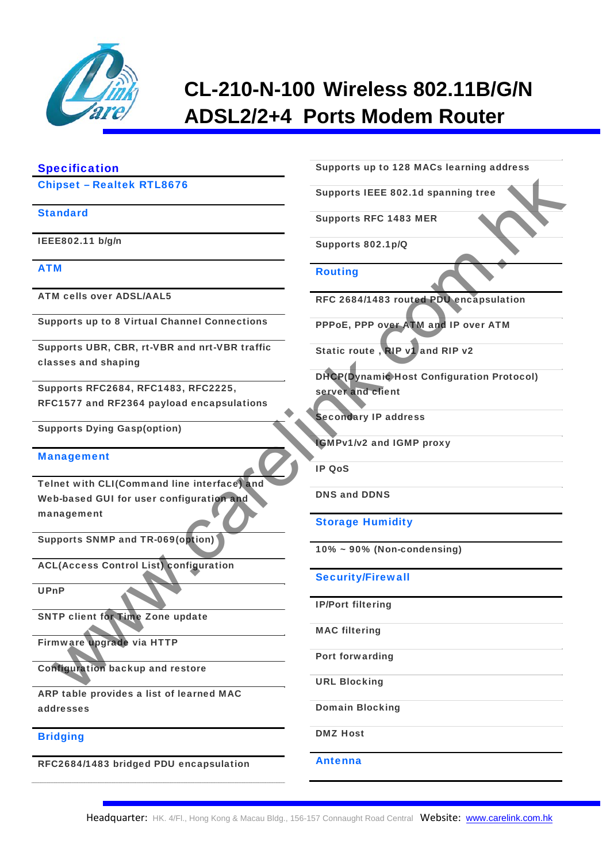

# **CL-210-N-100 Wireless 802.11B/G/N ADSL2/2+4 Ports Modem Router**

## **Specification**

### Chipset – Realtek RTL8676

**Standard** 

IEEE802.11 b/g/n

ATM

ATM cells over ADSL/AAL5

Supports up to 8 Virtual Channel Connections

Supports UBR, CBR, rt-VBR and nrt-VBR traffic classes and shaping

Supports RFC2684, RFC1483, RFC2225, RFC1577 and RF2364 payload encapsulations

Supports Dying Gasp(option)

## **Management**

Telnet with CLI(Command line interface) and Web-based GUI for user configuration and management epistration<br>
Supports RTL8676<br>
Supports RTL8676<br>
Supports RTL8676<br>
Supports RTL8676<br>
Supports RTL8676<br>
Supports RTL488 approximately<br>
M<br>
Metals over ADSL/AAL5<br>
Process and shaping<br>
Process and shaping<br>
Depends are approxim

Supports SNMP and TR-069(option)

ACL(Access Control List) configuration

UPnP

SNTP client for Time Zone update

Firmware upgrade via HTTP

Configuration backup and restore

ARP table provides a list of learned MAC addresses

#### Bridging

RFC2684/1483 bridged PDU encapsulation

Supports up to 128 MACs learning address

Supports IEEE 802.1d spanning tree

Supports RFC 1483 MER

Supports 802.1p/Q

Routing

RFC 2684/1483 routed PDU encapsulation

PPPoE, PPP over ATM and IP over ATM

Static route , RIP v1 and RIP v2

DHCP(Dynamic Host Configuration Protocol) server and client

**Secondary IP address** 

IGMPv1/v2 and IGMP proxy

IP QoS

DNS and DDNS

Storage Humidity

10% ~ 90% (Non-condensing)

Security/Firewall

IP/Port filtering

MAC filtering

Port forwarding

URL Blocking

Domain Blocking

DMZ Host

Antenna